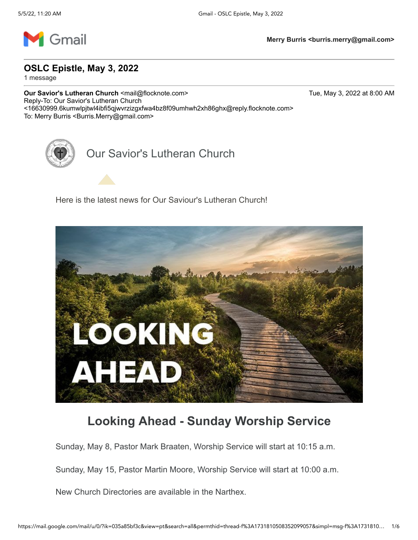

**OSLC Epistle, May 3, 2022**

1 message

**Our Savior's Lutheran Church <mail@flocknote.com> Tue, May 3, 2022 at 8:00 AM** Reply-To: Our Savior's Lutheran Church <16630999.6kumwlpjtwl4ibfi5qjwvrzizgxfwa4bz8f09umhwh2xh86ghx@reply.flocknote.com> To: Merry Burris < Burris.Merry@gmail.com>

Our Savior's Lutheran Church

Here is the latest news for Our Saviour's Lutheran Church!



#### **Looking Ahead - Sunday Worship Service**

Sunday, May 8, Pastor Mark Braaten, Worship Service will start at 10:15 a.m.

Sunday, May 15, Pastor Martin Moore, Worship Service will start at 10:00 a.m.

New Church Directories are available in the Narthex.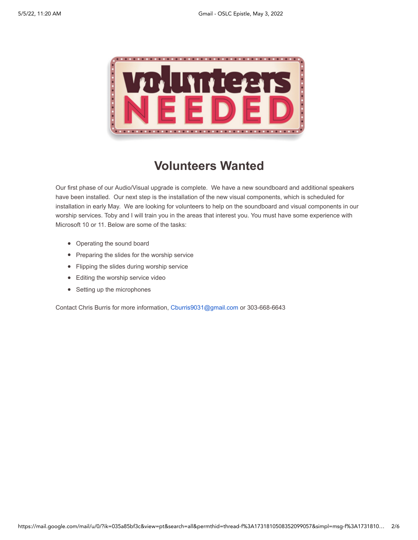

### **Volunteers Wanted**

Our first phase of our Audio/Visual upgrade is complete. We have a new soundboard and additional speakers have been installed. Our next step is the installation of the new visual components, which is scheduled for installation in early May. We are looking for volunteers to help on the soundboard and visual components in our worship services. Toby and I will train you in the areas that interest you. You must have some experience with Microsoft 10 or 11. Below are some of the tasks:

- Operating the sound board
- Preparing the slides for the worship service
- Flipping the slides during worship service
- Editing the worship service video
- Setting up the microphones

Contact Chris Burris for more information, [Cburris9031@gmail.com](mailto:Cburris9031@gmail.com) or 303-668-6643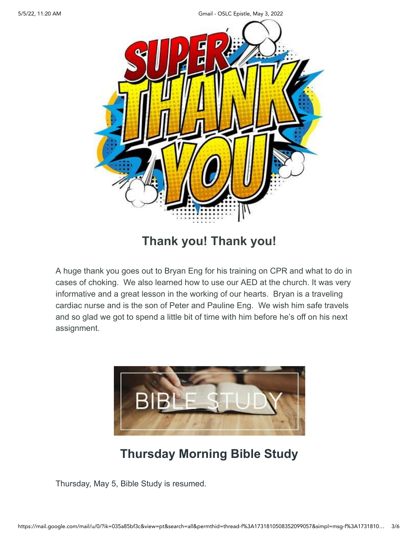5/5/22, 11:20 AM Gmail - OSLC Epistle, May 3, 2022



#### **Thank you! Thank you!**

A huge thank you goes out to Bryan Eng for his training on CPR and what to do in cases of choking. We also learned how to use our AED at the church. It was very informative and a great lesson in the working of our hearts. Bryan is a traveling cardiac nurse and is the son of Peter and Pauline Eng. We wish him safe travels and so glad we got to spend a little bit of time with him before he's off on his next assignment.



# **Thursday Morning Bible Study**

Thursday, May 5, Bible Study is resumed.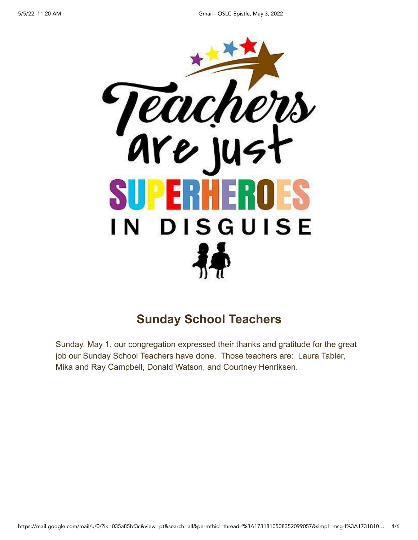

### **Sunday School Teachers**

Sunday, May 1, our congregation expressed their thanks and gratitude for the great job our Sunday School Teachers have done. Those teachers are: Laura Tabler, Mika and Ray Campbell, Donald Watson, and Courtney Henriksen.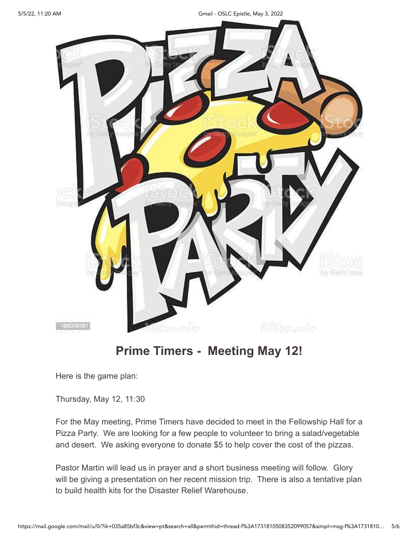5/5/22, 11:20 AM Gmail - OSLC Epistle, May 3, 2022



# **Prime Timers - Meeting May 12!**

Here is the game plan:

Thursday, May 12, 11:30

For the May meeting, Prime Timers have decided to meet in the Fellowship Hall for a Pizza Party. We are looking for a few people to volunteer to bring a salad/vegetable and desert. We asking everyone to donate \$5 to help cover the cost of the pizzas.

Pastor Martin will lead us in prayer and a short business meeting will follow. Glory will be giving a presentation on her recent mission trip. There is also a tentative plan to build health kits for the Disaster Relief Warehouse.